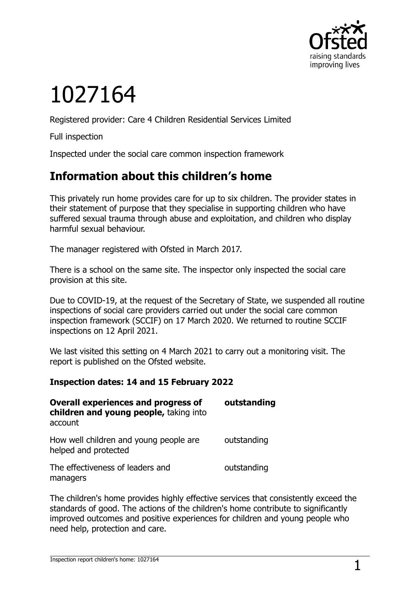

# 1027164

Registered provider: Care 4 Children Residential Services Limited

Full inspection

Inspected under the social care common inspection framework

## **Information about this children's home**

This privately run home provides care for up to six children. The provider states in their statement of purpose that they specialise in supporting children who have suffered sexual trauma through abuse and exploitation, and children who display harmful sexual behaviour.

The manager registered with Ofsted in March 2017.

There is a school on the same site. The inspector only inspected the social care provision at this site.

Due to COVID-19, at the request of the Secretary of State, we suspended all routine inspections of social care providers carried out under the social care common inspection framework (SCCIF) on 17 March 2020. We returned to routine SCCIF inspections on 12 April 2021.

We last visited this setting on 4 March 2021 to carry out a monitoring visit. The report is published on the Ofsted website.

#### **Inspection dates: 14 and 15 February 2022**

| <b>Overall experiences and progress of</b><br>children and young people, taking into<br>account | outstanding |
|-------------------------------------------------------------------------------------------------|-------------|
| How well children and young people are<br>helped and protected                                  | outstanding |
| The effectiveness of leaders and<br>managers                                                    | outstanding |

The children's home provides highly effective services that consistently exceed the standards of good. The actions of the children's home contribute to significantly improved outcomes and positive experiences for children and young people who need help, protection and care.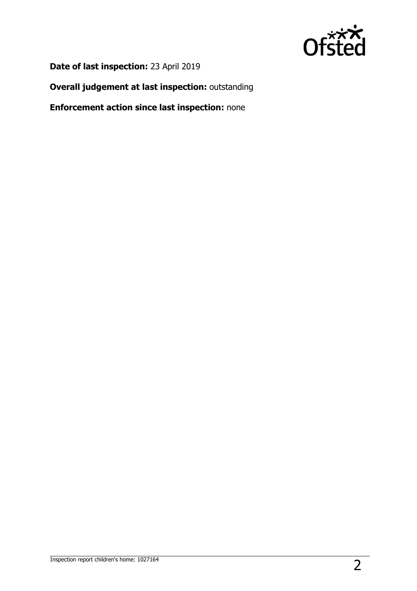

**Date of last inspection:** 23 April 2019

**Overall judgement at last inspection:** outstanding

**Enforcement action since last inspection:** none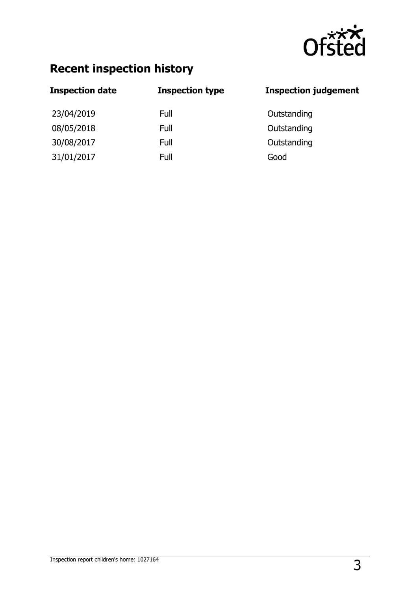

## **Recent inspection history**

| <b>Inspection type</b> | <b>Inspection judgement</b> |
|------------------------|-----------------------------|
| Full                   | Outstanding                 |
| Full                   | Outstanding                 |
| Full                   | Outstanding                 |
| Full                   | Good                        |
|                        |                             |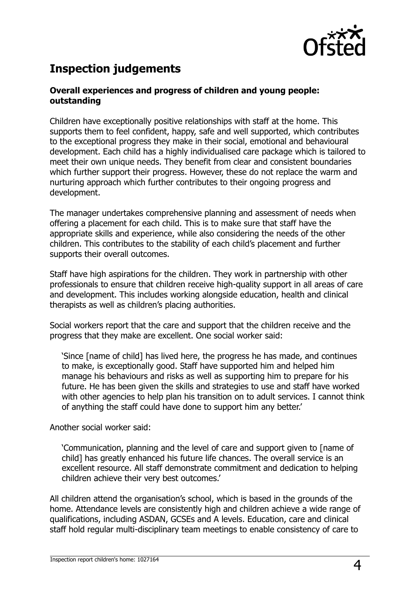

## **Inspection judgements**

#### **Overall experiences and progress of children and young people: outstanding**

Children have exceptionally positive relationships with staff at the home. This supports them to feel confident, happy, safe and well supported, which contributes to the exceptional progress they make in their social, emotional and behavioural development. Each child has a highly individualised care package which is tailored to meet their own unique needs. They benefit from clear and consistent boundaries which further support their progress. However, these do not replace the warm and nurturing approach which further contributes to their ongoing progress and development.

The manager undertakes comprehensive planning and assessment of needs when offering a placement for each child. This is to make sure that staff have the appropriate skills and experience, while also considering the needs of the other children. This contributes to the stability of each child's placement and further supports their overall outcomes.

Staff have high aspirations for the children. They work in partnership with other professionals to ensure that children receive high-quality support in all areas of care and development. This includes working alongside education, health and clinical therapists as well as children's placing authorities.

Social workers report that the care and support that the children receive and the progress that they make are excellent. One social worker said:

'Since [name of child] has lived here, the progress he has made, and continues to make, is exceptionally good. Staff have supported him and helped him manage his behaviours and risks as well as supporting him to prepare for his future. He has been given the skills and strategies to use and staff have worked with other agencies to help plan his transition on to adult services. I cannot think of anything the staff could have done to support him any better.'

Another social worker said:

'Communication, planning and the level of care and support given to [name of child] has greatly enhanced his future life chances. The overall service is an excellent resource. All staff demonstrate commitment and dedication to helping children achieve their very best outcomes.'

All children attend the organisation's school, which is based in the grounds of the home. Attendance levels are consistently high and children achieve a wide range of qualifications, including ASDAN, GCSEs and A levels. Education, care and clinical staff hold regular multi-disciplinary team meetings to enable consistency of care to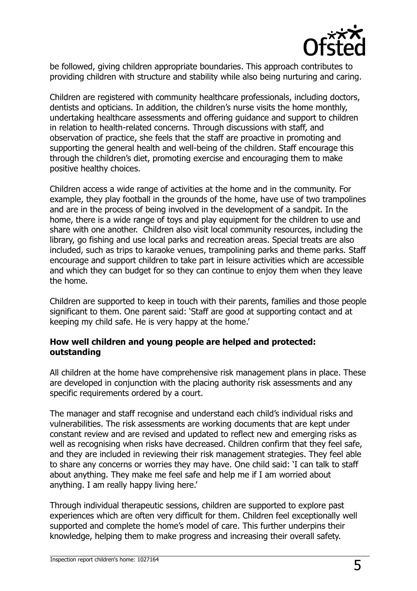

be followed, giving children appropriate boundaries. This approach contributes to providing children with structure and stability while also being nurturing and caring.

Children are registered with community healthcare professionals, including doctors, dentists and opticians. In addition, the children's nurse visits the home monthly, undertaking healthcare assessments and offering guidance and support to children in relation to health-related concerns. Through discussions with staff, and observation of practice, she feels that the staff are proactive in promoting and supporting the general health and well-being of the children. Staff encourage this through the children's diet, promoting exercise and encouraging them to make positive healthy choices.

Children access a wide range of activities at the home and in the community. For example, they play football in the grounds of the home, have use of two trampolines and are in the process of being involved in the development of a sandpit. In the home, there is a wide range of toys and play equipment for the children to use and share with one another. Children also visit local community resources, including the library, go fishing and use local parks and recreation areas. Special treats are also included, such as trips to karaoke venues, trampolining parks and theme parks. Staff encourage and support children to take part in leisure activities which are accessible and which they can budget for so they can continue to enjoy them when they leave the home.

Children are supported to keep in touch with their parents, families and those people significant to them. One parent said: 'Staff are good at supporting contact and at keeping my child safe. He is very happy at the home.'

#### **How well children and young people are helped and protected: outstanding**

All children at the home have comprehensive risk management plans in place. These are developed in conjunction with the placing authority risk assessments and any specific requirements ordered by a court.

The manager and staff recognise and understand each child's individual risks and vulnerabilities. The risk assessments are working documents that are kept under constant review and are revised and updated to reflect new and emerging risks as well as recognising when risks have decreased. Children confirm that they feel safe, and they are included in reviewing their risk management strategies. They feel able to share any concerns or worries they may have. One child said: 'I can talk to staff about anything. They make me feel safe and help me if I am worried about anything. I am really happy living here.'

Through individual therapeutic sessions, children are supported to explore past experiences which are often very difficult for them. Children feel exceptionally well supported and complete the home's model of care. This further underpins their knowledge, helping them to make progress and increasing their overall safety.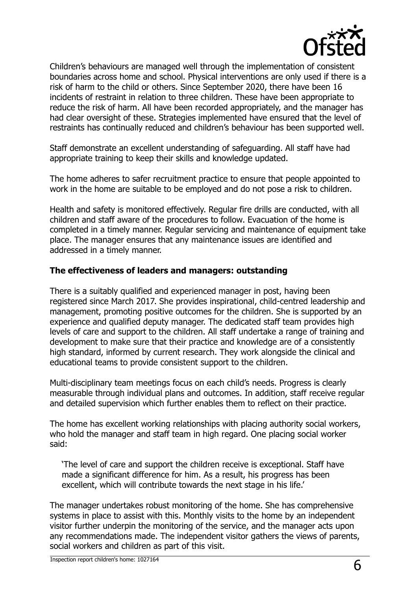

Children's behaviours are managed well through the implementation of consistent boundaries across home and school. Physical interventions are only used if there is a risk of harm to the child or others. Since September 2020, there have been 16 incidents of restraint in relation to three children. These have been appropriate to reduce the risk of harm. All have been recorded appropriately, and the manager has had clear oversight of these. Strategies implemented have ensured that the level of restraints has continually reduced and children's behaviour has been supported well.

Staff demonstrate an excellent understanding of safeguarding. All staff have had appropriate training to keep their skills and knowledge updated.

The home adheres to safer recruitment practice to ensure that people appointed to work in the home are suitable to be employed and do not pose a risk to children.

Health and safety is monitored effectively. Regular fire drills are conducted, with all children and staff aware of the procedures to follow. Evacuation of the home is completed in a timely manner. Regular servicing and maintenance of equipment take place. The manager ensures that any maintenance issues are identified and addressed in a timely manner.

#### **The effectiveness of leaders and managers: outstanding**

There is a suitably qualified and experienced manager in post, having been registered since March 2017. She provides inspirational, child-centred leadership and management, promoting positive outcomes for the children. She is supported by an experience and qualified deputy manager. The dedicated staff team provides high levels of care and support to the children. All staff undertake a range of training and development to make sure that their practice and knowledge are of a consistently high standard, informed by current research. They work alongside the clinical and educational teams to provide consistent support to the children.

Multi-disciplinary team meetings focus on each child's needs. Progress is clearly measurable through individual plans and outcomes. In addition, staff receive regular and detailed supervision which further enables them to reflect on their practice.

The home has excellent working relationships with placing authority social workers, who hold the manager and staff team in high regard. One placing social worker said:

'The level of care and support the children receive is exceptional. Staff have made a significant difference for him. As a result, his progress has been excellent, which will contribute towards the next stage in his life.'

The manager undertakes robust monitoring of the home. She has comprehensive systems in place to assist with this. Monthly visits to the home by an independent visitor further underpin the monitoring of the service, and the manager acts upon any recommendations made. The independent visitor gathers the views of parents, social workers and children as part of this visit.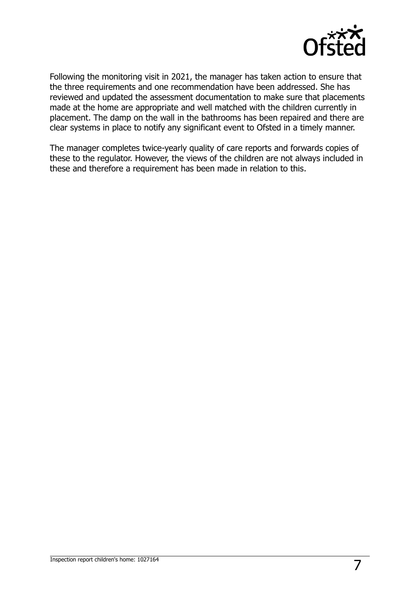

Following the monitoring visit in 2021, the manager has taken action to ensure that the three requirements and one recommendation have been addressed. She has reviewed and updated the assessment documentation to make sure that placements made at the home are appropriate and well matched with the children currently in placement. The damp on the wall in the bathrooms has been repaired and there are clear systems in place to notify any significant event to Ofsted in a timely manner.

The manager completes twice-yearly quality of care reports and forwards copies of these to the regulator. However, the views of the children are not always included in these and therefore a requirement has been made in relation to this.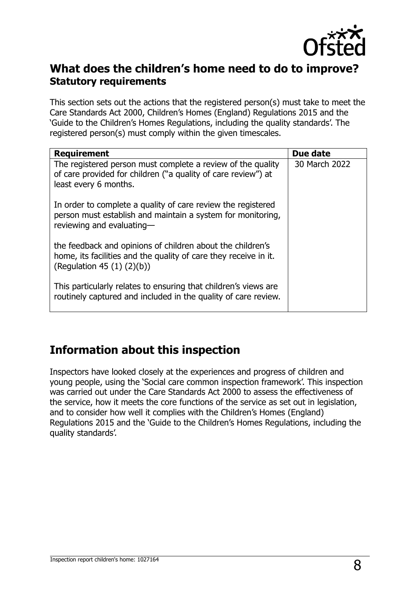

### **What does the children's home need to do to improve? Statutory requirements**

This section sets out the actions that the registered person(s) must take to meet the Care Standards Act 2000, Children's Homes (England) Regulations 2015 and the 'Guide to the Children's Homes Regulations, including the quality standards'. The registered person(s) must comply within the given timescales.

| <b>Requirement</b>                                                                                                                                                | Due date      |
|-------------------------------------------------------------------------------------------------------------------------------------------------------------------|---------------|
| The registered person must complete a review of the quality<br>of care provided for children ("a quality of care review") at<br>least every 6 months.             | 30 March 2022 |
| In order to complete a quality of care review the registered<br>person must establish and maintain a system for monitoring,<br>reviewing and evaluating-          |               |
| the feedback and opinions of children about the children's<br>home, its facilities and the quality of care they receive in it.<br>(Regulation 45 $(1)$ $(2)(b)$ ) |               |
| This particularly relates to ensuring that children's views are<br>routinely captured and included in the quality of care review.                                 |               |

## **Information about this inspection**

Inspectors have looked closely at the experiences and progress of children and young people, using the 'Social care common inspection framework'. This inspection was carried out under the Care Standards Act 2000 to assess the effectiveness of the service, how it meets the core functions of the service as set out in legislation, and to consider how well it complies with the Children's Homes (England) Regulations 2015 and the 'Guide to the Children's Homes Regulations, including the quality standards'.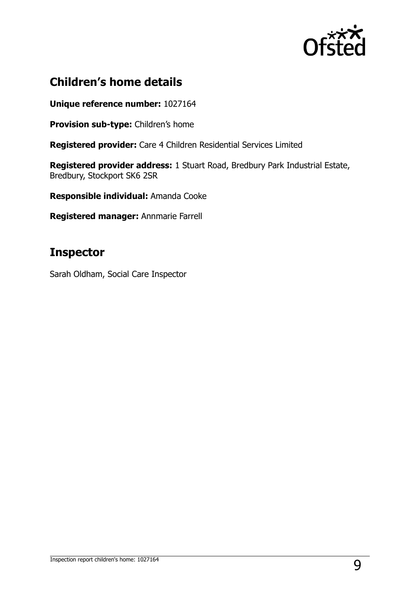

## **Children's home details**

**Unique reference number:** 1027164

**Provision sub-type:** Children's home

**Registered provider:** Care 4 Children Residential Services Limited

**Registered provider address:** 1 Stuart Road, Bredbury Park Industrial Estate, Bredbury, Stockport SK6 2SR

**Responsible individual:** Amanda Cooke

**Registered manager:** Annmarie Farrell

## **Inspector**

Sarah Oldham, Social Care Inspector